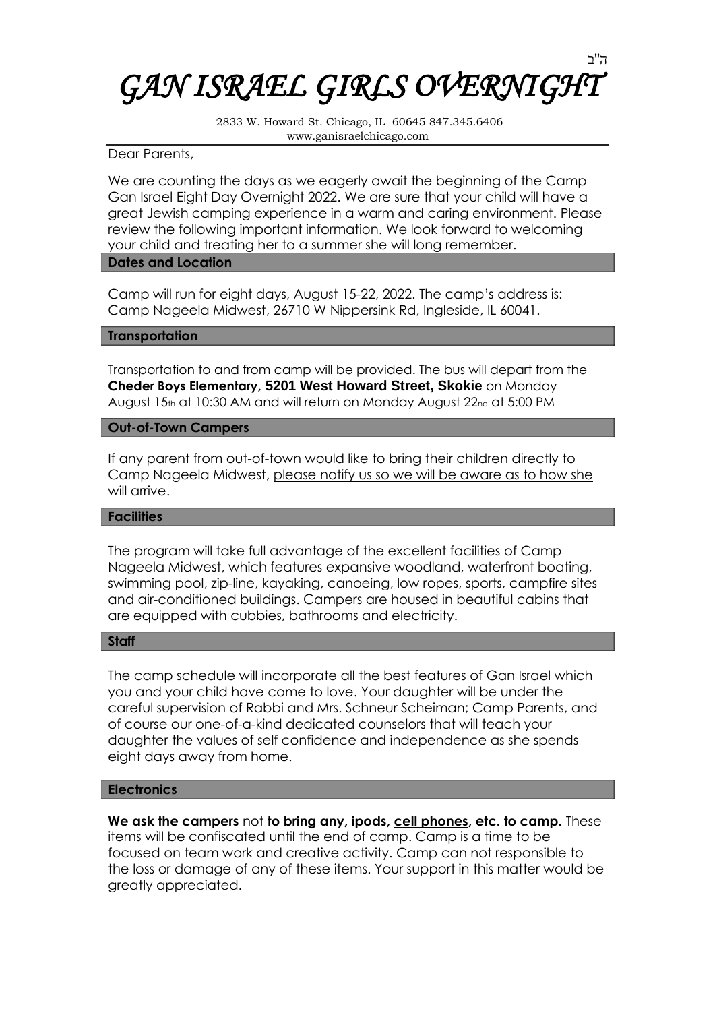# ה''ב *GAN ISRAEL GIRLS OVERNIGHT*

2833 W. Howard St. Chicago, IL 60645 847.345.6406 www.ganisraelchicago.com

## Dear Parents,

We are counting the days as we eagerly await the beginning of the Camp Gan Israel Eight Day Overnight 2022. We are sure that your child will have a great Jewish camping experience in a warm and caring environment. Please review the following important information. We look forward to welcoming your child and treating her to a summer she will long remember.

## **Dates and Location**

Camp will run for eight days, August 15-22, 2022. The camp's address is: Camp Nageela Midwest, 26710 W Nippersink Rd, Ingleside, IL 60041.

## **Transportation**

Transportation to and from camp will be provided. The bus will depart from the **Cheder Boys Elementary, 5201 West Howard Street, Skokie** on Monday August 15th at 10:30 AM and will return on Monday August 22nd at 5:00 PM

## **Out-of-Town Campers**

If any parent from out-of-town would like to bring their children directly to Camp Nageela Midwest, please notify us so we will be aware as to how she will arrive.

#### **Facilities**

The program will take full advantage of the excellent facilities of Camp Nageela Midwest, which features expansive woodland, waterfront boating, swimming pool, zip-line, kayaking, canoeing, low ropes, sports, campfire sites and air-conditioned buildings. Campers are housed in beautiful cabins that are equipped with cubbies, bathrooms and electricity.

#### **Staff**

The camp schedule will incorporate all the best features of Gan Israel which you and your child have come to love. Your daughter will be under the careful supervision of Rabbi and Mrs. Schneur Scheiman; Camp Parents, and of course our one-of-a-kind dedicated counselors that will teach your daughter the values of self confidence and independence as she spends eight days away from home.

# **Electronics**

**We ask the campers** not **to bring any, ipods, cell phones, etc. to camp.** These items will be confiscated until the end of camp. Camp is a time to be focused on team work and creative activity. Camp can not responsible to the loss or damage of any of these items. Your support in this matter would be greatly appreciated.